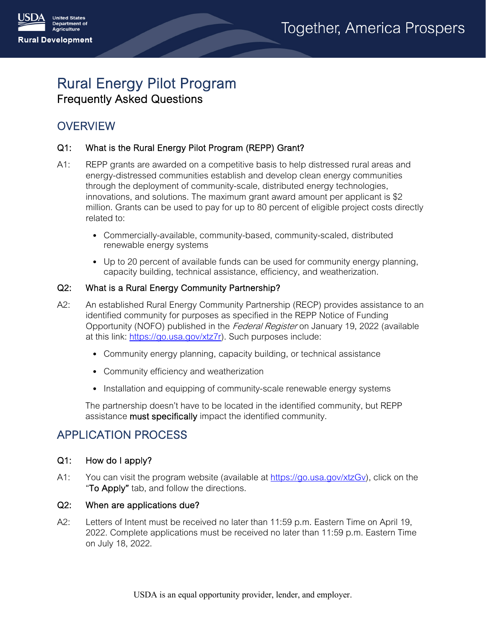

# Rural Energy Pilot Program Frequently Asked Questions

# **OVERVIEW**

## Q1: What is the Rural Energy Pilot Program (REPP) Grant?

- A1: REPP grants are awarded on a competitive basis to help distressed rural areas and energy-distressed communities establish and develop clean energy communities through the deployment of community-scale, distributed energy technologies, innovations, and solutions. The maximum grant award amount per applicant is \$2 million. Grants can be used to pay for up to 80 percent of eligible project costs directly related to:
	- Commercially-available, community-based, community-scaled, distributed renewable energy systems
	- Up to 20 percent of available funds can be used for community energy planning, capacity building, technical assistance, efficiency, and weatherization.

## Q2: What is a Rural Energy Community Partnership?

- A2: An established Rural Energy Community Partnership (RECP) provides assistance to an identified community for purposes as specified in the REPP Notice of Funding Opportunity (NOFO) published in the *Federal Register* on January 19, 2022 (available at this link: [https://go.usa.gov/xtz7r\)](https://go.usa.gov/xtz7r). Such purposes include:
	- Community energy planning, capacity building, or technical assistance
	- Community efficiency and weatherization
	- Installation and equipping of community-scale renewable energy systems

The partnership doesn't have to be located in the identified community, but REPP assistance **must specifically** impact the identified community.

# APPLICATION PROCESS

## Q1: How do I apply?

A1: You can visit the program website (available at [https://go.usa.gov/xtzGv\)](https://go.usa.gov/xtzGv), click on the "To Apply" tab, and follow the directions.

## Q2: When are applications due?

A2: Letters of Intent must be received no later than 11:59 p.m. Eastern Time on April 19, 2022. Complete applications must be received no later than 11:59 p.m. Eastern Time on July 18, 2022.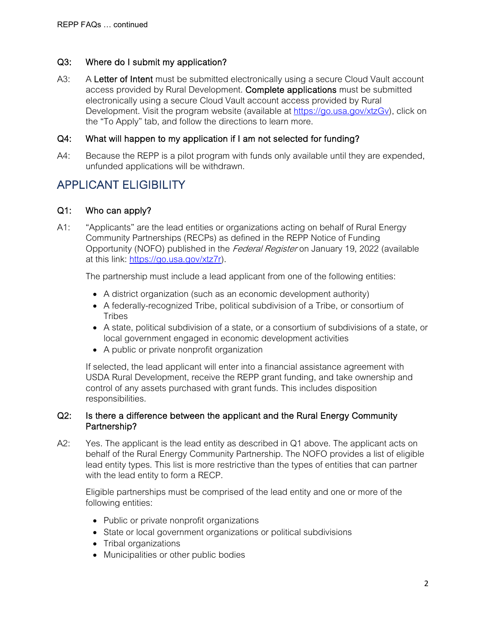## Q3: Where do I submit my application?

A3: A Letter of Intent must be submitted electronically using a secure Cloud Vault account access provided by Rural Development. Complete applications must be submitted electronically using a secure Cloud Vault account access provided by Rural Development. Visit the program website (available at [https://go.usa.gov/xtzGv\)](https://go.usa.gov/xtzGv), click on the "To Apply" tab, and follow the directions to learn more.

## Q4: What will happen to my application if I am not selected for funding?

A4: Because the REPP is a pilot program with funds only available until they are expended, unfunded applications will be withdrawn.

## APPLICANT ELIGIBILITY

## Q1: Who can apply?

A1: "Applicants" are the lead entities or organizations acting on behalf of Rural Energy Community Partnerships (RECPs) as defined in the REPP Notice of Funding Opportunity (NOFO) published in the *Federal Register* on January 19, 2022 (available at this link: [https://go.usa.gov/xtz7r\)](https://go.usa.gov/xtz7r).

The partnership must include a lead applicant from one of the following entities:

- A district organization (such as an economic development authority)
- A federally-recognized Tribe, political subdivision of a Tribe, or consortium of **Tribes**
- A state, political subdivision of a state, or a consortium of subdivisions of a state, or local government engaged in economic development activities
- A public or private nonprofit organization

If selected, the lead applicant will enter into a financial assistance agreement with USDA Rural Development, receive the REPP grant funding, and take ownership and control of any assets purchased with grant funds. This includes disposition responsibilities.

## Q2: Is there a difference between the applicant and the Rural Energy Community Partnership?

A2: Yes. The applicant is the lead entity as described in Q1 above. The applicant acts on behalf of the Rural Energy Community Partnership. The NOFO provides a list of eligible lead entity types. This list is more restrictive than the types of entities that can partner with the lead entity to form a RECP.

Eligible partnerships must be comprised of the lead entity and one or more of the following entities:

- Public or private nonprofit organizations
- State or local government organizations or political subdivisions
- Tribal organizations
- Municipalities or other public bodies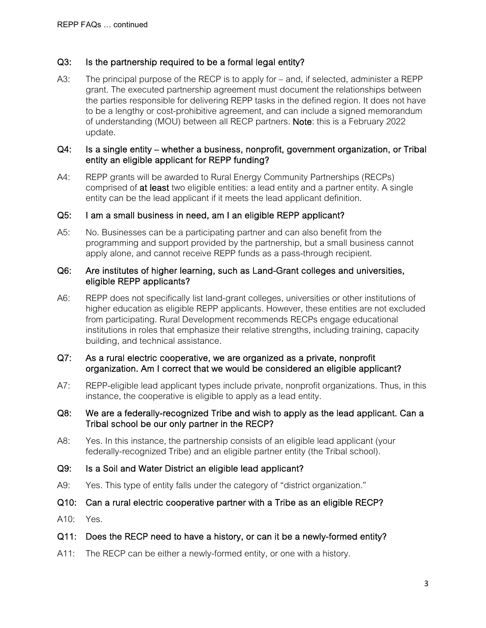## Q3: Is the partnership required to be a formal legal entity?

A3: The principal purpose of the RECP is to apply for – and, if selected, administer a REPP grant. The executed partnership agreement must document the relationships between the parties responsible for delivering REPP tasks in the defined region. It does not have to be a lengthy or cost-prohibitive agreement, and can include a signed memorandum of understanding (MOU) between all RECP partners. Note: this is a February 2022 update.

### Q4: Is a single entity – whether a business, nonprofit, government organization, or Tribal entity an eligible applicant for REPP funding?

A4: REPP grants will be awarded to Rural Energy Community Partnerships (RECPs) comprised of at least two eligible entities: a lead entity and a partner entity. A single entity can be the lead applicant if it meets the lead applicant definition.

#### Q5: I am a small business in need, am I an eligible REPP applicant?

A5: No. Businesses can be a participating partner and can also benefit from the programming and support provided by the partnership, but a small business cannot apply alone, and cannot receive REPP funds as a pass-through recipient.

#### Q6: Are institutes of higher learning, such as Land-Grant colleges and universities, eligible REPP applicants?

A6: REPP does not specifically list land-grant colleges, universities or other institutions of higher education as eligible REPP applicants. However, these entities are not excluded from participating. Rural Development recommends RECPs engage educational institutions in roles that emphasize their relative strengths, including training, capacity building, and technical assistance.

#### Q7: As a rural electric cooperative, we are organized as a private, nonprofit organization. Am I correct that we would be considered an eligible applicant?

A7: REPP-eligible lead applicant types include private, nonprofit organizations. Thus, in this instance, the cooperative is eligible to apply as a lead entity.

#### Q8: We are a federally-recognized Tribe and wish to apply as the lead applicant. Can a Tribal school be our only partner in the RECP?

A8: Yes. In this instance, the partnership consists of an eligible lead applicant (your federally-recognized Tribe) and an eligible partner entity (the Tribal school).

#### Q9: Is a Soil and Water District an eligible lead applicant?

- A9: Yes. This type of entity falls under the category of "district organization."
- Q10: Can a rural electric cooperative partner with a Tribe as an eligible RECP?
- A10: Yes.

#### Q11: Does the RECP need to have a history, or can it be a newly-formed entity?

A11: The RECP can be either a newly-formed entity, or one with a history.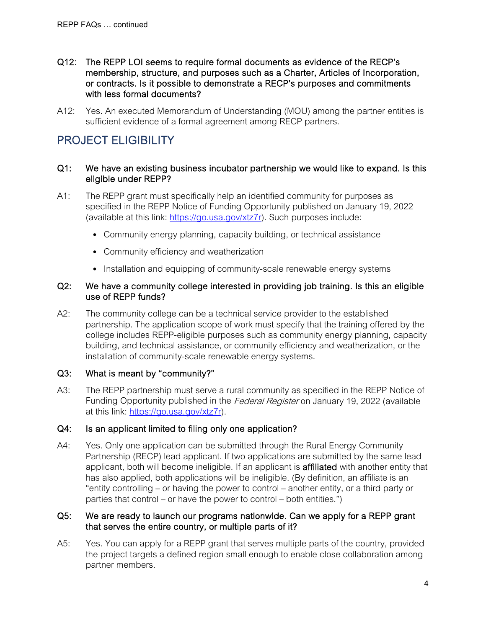- Q12: The REPP LOI seems to require formal documents as evidence of the RECP's membership, structure, and purposes such as a Charter, Articles of Incorporation, or contracts. Is it possible to demonstrate a RECP's purposes and commitments with less formal documents?
- A12: Yes. An executed Memorandum of Understanding (MOU) among the partner entities is sufficient evidence of a formal agreement among RECP partners.

# PROJECT ELIGIBILITY

#### Q1: We have an existing business incubator partnership we would like to expand. Is this eligible under REPP?

- A1: The REPP grant must specifically help an identified community for purposes as specified in the REPP Notice of Funding Opportunity published on January 19, 2022 (available at this link: [https://go.usa.gov/xtz7r\)](https://go.usa.gov/xtz7r). Such purposes include:
	- Community energy planning, capacity building, or technical assistance
	- Community efficiency and weatherization
	- Installation and equipping of community-scale renewable energy systems

#### Q2: We have a community college interested in providing job training. Is this an eligible use of REPP funds?

A2: The community college can be a technical service provider to the established partnership. The application scope of work must specify that the training offered by the college includes REPP-eligible purposes such as community energy planning, capacity building, and technical assistance, or community efficiency and weatherization, or the installation of community-scale renewable energy systems.

## Q3: What is meant by "community?"

A3: The REPP partnership must serve a rural community as specified in the REPP Notice of Funding Opportunity published in the *Federal Register* on January 19, 2022 (available at this link: [https://go.usa.gov/xtz7r\)](https://go.usa.gov/xtz7r).

## Q4: Is an applicant limited to filing only one application?

A4: Yes. Only one application can be submitted through the Rural Energy Community Partnership (RECP) lead applicant. If two applications are submitted by the same lead applicant, both will become ineligible. If an applicant is **affiliated** with another entity that has also applied, both applications will be ineligible. (By definition, an affiliate is an "entity controlling – or having the power to control – another entity, or a third party or parties that control – or have the power to control – both entities.")

## Q5: We are ready to launch our programs nationwide. Can we apply for a REPP grant that serves the entire country, or multiple parts of it?

A5: Yes. You can apply for a REPP grant that serves multiple parts of the country, provided the project targets a defined region small enough to enable close collaboration among partner members.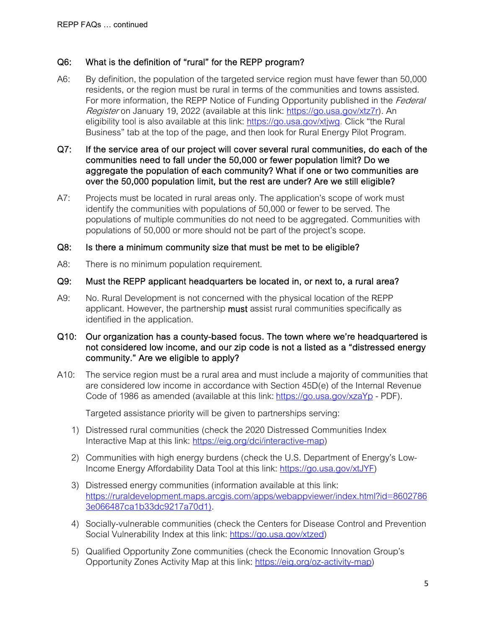## Q6: What is the definition of "rural" for the REPP program?

- A6: By definition, the population of the targeted service region must have fewer than 50,000 residents, or the region must be rural in terms of the communities and towns assisted. For more information, the REPP Notice of Funding Opportunity published in the Federal Register on January 19, 2022 (available at this link: [https://go.usa.gov/xtz7r\)](https://go.usa.gov/xtz7r). An eligibility tool is also available at this link: [https://go.usa.gov/xtjwg.](https://go.usa.gov/xtjwg) Click "the Rural Business" tab at the top of the page, and then look for Rural Energy Pilot Program.
- Q7: If the service area of our project will cover several rural communities, do each of the communities need to fall under the 50,000 or fewer population limit? Do we aggregate the population of each community? What if one or two communities are over the 50,000 population limit, but the rest are under? Are we still eligible?
- A7: Projects must be located in rural areas only. The application's scope of work must identify the communities with populations of 50,000 or fewer to be served. The populations of multiple communities do not need to be aggregated. Communities with populations of 50,000 or more should not be part of the project's scope.

## Q8: Is there a minimum community size that must be met to be eligible?

A8: There is no minimum population requirement.

## Q9: Must the REPP applicant headquarters be located in, or next to, a rural area?

A9: No. Rural Development is not concerned with the physical location of the REPP applicant. However, the partnership must assist rural communities specifically as identified in the application.

### Q10: Our organization has a county-based focus. The town where we're headquartered is not considered low income, and our zip code is not a listed as a "distressed energy community." Are we eligible to apply?

A10: The service region must be a rural area and must include a majority of communities that are considered low income in accordance with Section 45D(e) of the Internal Revenue Code of 1986 as amended (available at this link: <https://go.usa.gov/xzaYp> - PDF).

Targeted assistance priority will be given to partnerships serving:

- 1) Distressed rural communities (check the 2020 Distressed Communities Index Interactive Map at this link: [https://eig.org/dci/interactive-map\)](https://eig.org/dci/interactive-map)
- 2) Communities with high energy burdens (check the U.S. Department of Energy's Low-Income Energy Affordability Data Tool at this link: [https://go.usa.gov/xtJYF\)](https://go.usa.gov/xtJYF)
- 3) Distressed energy communities (information available at this link: [https://ruraldevelopment.maps.arcgis.com/apps/webappviewer/index.html?id=8602786](https://ruraldevelopment.maps.arcgis.com/apps/webappviewer/index.html?id=86027863e066487ca1b33dc9217a70d1) [3e066487ca1b33dc9217a70d1\)](https://ruraldevelopment.maps.arcgis.com/apps/webappviewer/index.html?id=86027863e066487ca1b33dc9217a70d1).
- 4) Socially-vulnerable communities (check the Centers for Disease Control and Prevention Social Vulnerability Index at this link: [https://go.usa.gov/xtzed\)](https://go.usa.gov/xtzed)
- 5) Qualified Opportunity Zone communities (check the Economic Innovation Group's Opportunity Zones Activity Map at this link: [https://eig.org/oz-activity-map\)](https://eig.org/oz-activity-map)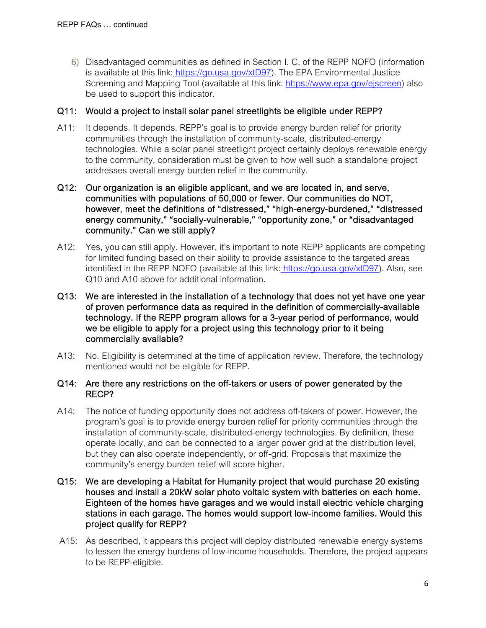6) Disadvantaged communities as defined in Section I. C. of the REPP NOFO (information is available at this link: [https://go.usa.gov/xtD97\)](https://go.usa.gov/xtD97). The EPA Environmental Justice Screening and Mapping Tool (available at this link: [https://www.epa.gov/ejscreen\)](https://www.epa.gov/ejscreen) also be used to support this indicator.

## Q11: Would a project to install solar panel streetlights be eligible under REPP?

- A11: It depends. It depends. REPP's goal is to provide energy burden relief for priority communities through the installation of community-scale, distributed-energy technologies. While a solar panel streetlight project certainly deploys renewable energy to the community, consideration must be given to how well such a standalone project addresses overall energy burden relief in the community.
- Q12: Our organization is an eligible applicant, and we are located in, and serve, communities with populations of 50,000 or fewer. Our communities do NOT, however, meet the definitions of "distressed," "high-energy-burdened," "distressed energy community," "socially-vulnerable," "opportunity zone," or "disadvantaged community." Can we still apply?
- A12: Yes, you can still apply. However, it's important to note REPP applicants are competing for limited funding based on their ability to provide assistance to the targeted areas identified in the REPP NOFO (available at this link: [https://go.usa.gov/xtD97\)](https://go.usa.gov/xtD97). Also, see Q10 and A10 above for additional information.
- Q13: We are interested in the installation of a technology that does not yet have one year of proven performance data as required in the definition of commercially-available technology. If the REPP program allows for a 3-year period of performance, would we be eligible to apply for a project using this technology prior to it being commercially available?
- A13: No. Eligibility is determined at the time of application review. Therefore, the technology mentioned would not be eligible for REPP.

#### Q14: Are there any restrictions on the off-takers or users of power generated by the RECP?

- A14: The notice of funding opportunity does not address off-takers of power. However, the program's goal is to provide energy burden relief for priority communities through the installation of community-scale, distributed-energy technologies. By definition, these operate locally, and can be connected to a larger power grid at the distribution level, but they can also operate independently, or off-grid. Proposals that maximize the community's energy burden relief will score higher.
- Q15: We are developing a Habitat for Humanity project that would purchase 20 existing houses and install a 20kW solar photo voltaic system with batteries on each home. Eighteen of the homes have garages and we would install electric vehicle charging stations in each garage. The homes would support low-income families. Would this project qualify for REPP?
- A15: As described, it appears this project will deploy distributed renewable energy systems to lessen the energy burdens of low-income households. Therefore, the project appears to be REPP-eligible.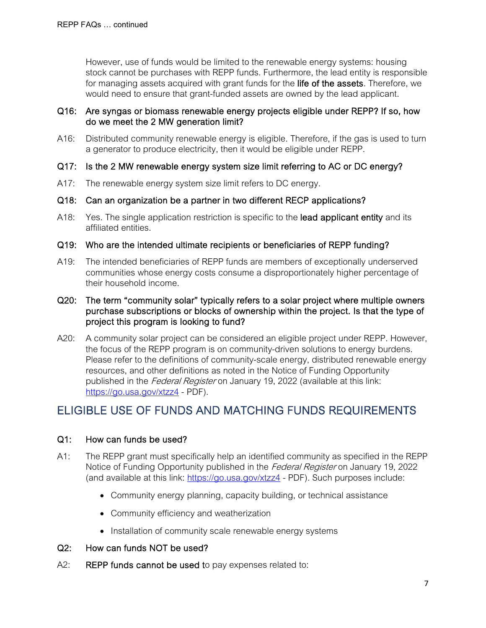However, use of funds would be limited to the renewable energy systems: housing stock cannot be purchases with REPP funds. Furthermore, the lead entity is responsible for managing assets acquired with grant funds for the life of the assets. Therefore, we would need to ensure that grant-funded assets are owned by the lead applicant.

## Q16: Are syngas or biomass renewable energy projects eligible under REPP? If so, how do we meet the 2 MW generation limit?

- A16: Distributed community renewable energy is eligible. Therefore, if the gas is used to turn a generator to produce electricity, then it would be eligible under REPP.
- Q17: Is the 2 MW renewable energy system size limit referring to AC or DC energy?
- A17: The renewable energy system size limit refers to DC energy.
- Q18: Can an organization be a partner in two different RECP applications?
- A18: Yes. The single application restriction is specific to the **lead applicant entity** and its affiliated entities.
- Q19: Who are the intended ultimate recipients or beneficiaries of REPP funding?
- A19: The intended beneficiaries of REPP funds are members of exceptionally underserved communities whose energy costs consume a disproportionately higher percentage of their household income.
- Q20: The term "community solar" typically refers to a solar project where multiple owners purchase subscriptions or blocks of ownership within the project. Is that the type of project this program is looking to fund?
- A20: A community solar project can be considered an eligible project under REPP. However, the focus of the REPP program is on community-driven solutions to energy burdens. Please refer to the definitions of community-scale energy, distributed renewable energy resources, and other definitions as noted in the Notice of Funding Opportunity published in the Federal Register on January 19, 2022 (available at this link: <https://go.usa.gov/xtzz4> - PDF).

## ELIGIBLE USE OF FUNDS AND MATCHING FUNDS REQUIREMENTS

## Q1: How can funds be used?

- A1: The REPP grant must specifically help an identified community as specified in the REPP Notice of Funding Opportunity published in the Federal Register on January 19, 2022 (and available at this link:<https://go.usa.gov/xtzz4> - PDF). Such purposes include:
	- Community energy planning, capacity building, or technical assistance
	- Community efficiency and weatherization
	- Installation of community scale renewable energy systems
- Q2: How can funds NOT be used?
- A2: REPP funds cannot be used to pay expenses related to: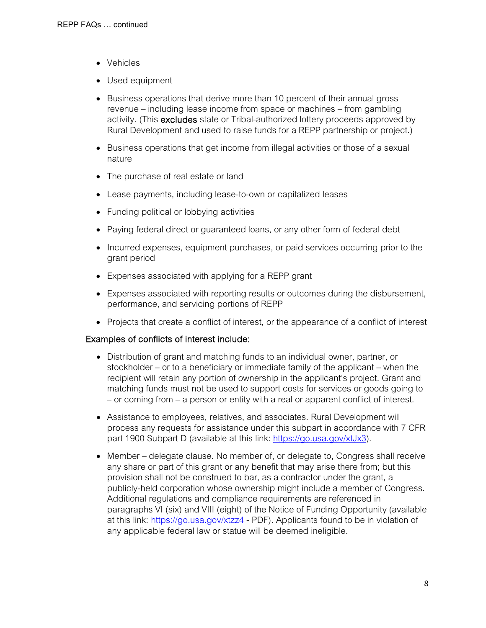- Vehicles
- Used equipment
- Business operations that derive more than 10 percent of their annual gross revenue – including lease income from space or machines – from gambling activity. (This excludes state or Tribal-authorized lottery proceeds approved by Rural Development and used to raise funds for a REPP partnership or project.)
- Business operations that get income from illegal activities or those of a sexual nature
- The purchase of real estate or land
- Lease payments, including lease-to-own or capitalized leases
- Funding political or lobbying activities
- Paying federal direct or guaranteed loans, or any other form of federal debt
- Incurred expenses, equipment purchases, or paid services occurring prior to the grant period
- Expenses associated with applying for a REPP grant
- Expenses associated with reporting results or outcomes during the disbursement, performance, and servicing portions of REPP
- Projects that create a conflict of interest, or the appearance of a conflict of interest

#### Examples of conflicts of interest include:

- Distribution of grant and matching funds to an individual owner, partner, or stockholder – or to a beneficiary or immediate family of the applicant – when the recipient will retain any portion of ownership in the applicant's project. Grant and matching funds must not be used to support costs for services or goods going to – or coming from – a person or entity with a real or apparent conflict of interest.
- Assistance to employees, relatives, and associates. Rural Development will process any requests for assistance under this subpart in accordance with 7 CFR part 1900 Subpart D (available at this link: [https://go.usa.gov/xtJx3\)](https://go.usa.gov/xtJx3).
- Member delegate clause. No member of, or delegate to, Congress shall receive any share or part of this grant or any benefit that may arise there from; but this provision shall not be construed to bar, as a contractor under the grant, a publicly-held corporation whose ownership might include a member of Congress. Additional regulations and compliance requirements are referenced in paragraphs VI (six) and VIII (eight) of the Notice of Funding Opportunity (available at this link:<https://go.usa.gov/xtzz4> - PDF). Applicants found to be in violation of any applicable federal law or statue will be deemed ineligible.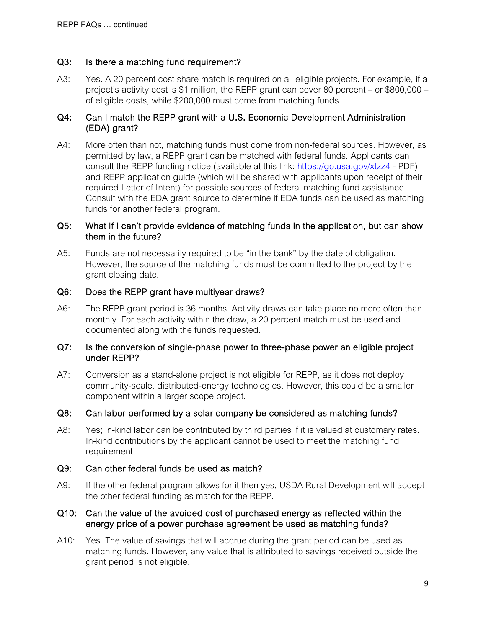## Q3: Is there a matching fund requirement?

A3: Yes. A 20 percent cost share match is required on all eligible projects. For example, if a project's activity cost is \$1 million, the REPP grant can cover 80 percent – or \$800,000 – of eligible costs, while \$200,000 must come from matching funds.

## Q4: Can I match the REPP grant with a U.S. Economic Development Administration (EDA) grant?

A4: More often than not, matching funds must come from non-federal sources. However, as permitted by law, a REPP grant can be matched with federal funds. Applicants can consult the REPP funding notice (available at this link:<https://go.usa.gov/xtzz4> - PDF) and REPP application guide (which will be shared with applicants upon receipt of their required Letter of Intent) for possible sources of federal matching fund assistance. Consult with the EDA grant source to determine if EDA funds can be used as matching funds for another federal program.

#### Q5: What if I can't provide evidence of matching funds in the application, but can show them in the future?

A5: Funds are not necessarily required to be "in the bank" by the date of obligation. However, the source of the matching funds must be committed to the project by the grant closing date.

#### Q6: Does the REPP grant have multiyear draws?

A6: The REPP grant period is 36 months. Activity draws can take place no more often than monthly. For each activity within the draw, a 20 percent match must be used and documented along with the funds requested.

#### Q7: Is the conversion of single-phase power to three-phase power an eligible project under REPP?

A7: Conversion as a stand-alone project is not eligible for REPP, as it does not deploy community-scale, distributed-energy technologies. However, this could be a smaller component within a larger scope project.

#### Q8: Can labor performed by a solar company be considered as matching funds?

A8: Yes; in-kind labor can be contributed by third parties if it is valued at customary rates. In-kind contributions by the applicant cannot be used to meet the matching fund requirement.

#### Q9: Can other federal funds be used as match?

A9: If the other federal program allows for it then yes, USDA Rural Development will accept the other federal funding as match for the REPP.

#### Q10: Can the value of the avoided cost of purchased energy as reflected within the energy price of a power purchase agreement be used as matching funds?

A10: Yes. The value of savings that will accrue during the grant period can be used as matching funds. However, any value that is attributed to savings received outside the grant period is not eligible.